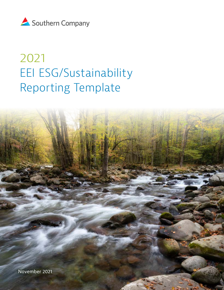

# 2021 EEI ESG/Sustainability Reporting Template

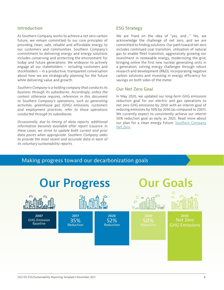#### Introduction

As Southern Company works to achieve a net zero carbon future, we remain committed to our core principles of providing clean, safe, reliable and affordable energy to our customers and communities. Southern Company's commitment to delivering energy and energy solutions includes conserving and protecting the environment for today and future generations. We endeavor to actively engage all our stakeholders – including customers and stockholders – in a productive, transparent conversation about how we are strategically planning for the future while delivering value and growth.

*Southern Company is a holding company that conducts its business through its subsidiaries. Accordingly, unless the context otherwise requires, references in this document to Southern Company's operations, such as generating activities, greenhouse gas (GHG) emissions, customers and employment practices, refer to those operations conducted through its subsidiaries.*

*Occasionally, due to timing of data reports, additional information becomes available after report issuance. In these cases, we strive to update both current and prior data points when appropriate. Southern Company seeks to provide the most recent and accurate data in each of its voluntary sustainability reports.*

#### ESG Strategy

We are fixed on the idea of "yes, and...." Yes, we acknowledge the challenge of net zero, and we are committed to finding solutions. Our path toward net zero includes continued coal transition, utilization of natural gas to enable fleet transition, aggressively growing our investment in renewable energy, modernizing the grid, bringing online the first new nuclear generating units in a generation, solving energy challenges through robust research and development (R&D), incorporating negative carbon solutions and investing in energy efficiency for savings on both sides of the meter.

#### Our Net Zero Goal

In May 2020, we updated our long-term GHG emissions reduction goal for our electric and gas operations to net zero GHG emissions by 2050 with an interim goal of reducing emissions by 50% by 2030 (as compared to 2007). We currently expect to consistently achieve our interim 50% reduction goal as early as 2025. Read more about our plan for a clean energy future: [Southern Company](https://www.southerncompany.com/clean-energy/net-zero.html)  [Net Zero](https://www.southerncompany.com/clean-energy/net-zero.html)

# Making progress toward our decarbonization goals

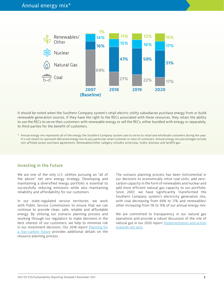

It should be noted when the Southern Company system's retail electric utility subsidiaries purchase energy from or build renewable generation sources, if they have the right to the RECs associated with these resources, they retain the ability to use the RECs to serve their customers with renewable energy or sell the RECs, either bundled with energy or separately, to third parties for the benefit of customers.

\* Annual energy mix represents all of the energy the Southern Company system uses to serve its retail and wholesale customers during the year. It is not meant to represent delivered energy mix to any particular retail customer or class of customers. Annual energy mix percentages include non-affiliate power purchase agreements. Renewables/other category includes wind,solar, hydro, biomass and landfill gas.

#### Investing in the Future

We are one of the only U.S. utilities pursuing an "all of the above" net zero energy strategy. Developing and maintaining a diversified energy portfolio is essential to successfully reducing emissions while also maintaining reliability and affordability for our customers.

In our state-regulated service territories, we work with Public Service Commissions to ensure that we can continue to provide clean, safe, reliable and affordable energy. By utilizing our scenario planning process and working through our regulators to make decisions in the best interest of our customers, we help to minimize risk in our investment decisions. Our 2018 report [Planning for](https://www.southerncompany.com/content/dam/southerncompany/pdfs/about/governance/reports/Planning-for-a-low-carbon-future_PDF4.pdf)  [a low-carbon future](https://www.southerncompany.com/content/dam/southerncompany/pdfs/about/governance/reports/Planning-for-a-low-carbon-future_PDF4.pdf) provides additional details on the resource planning process.

The scenario planning process has been instrumental in our decisions to economically retire coal units, add zerocarbon capacity in the form of renewables and nuclear and add more efficient natural gas capacity to our portfolio. Since 2007, we have significantly transformed the Southern Company system's electricity generation mix, with coal decreasing from 69% to 17% and renewables/ other increasing from 1% to 15% of our annual energy mix.

We are committed to transparency in our natural gas operations and provide a robust discussion of the role of natural gas in our 2020 report [Implementation and action](https://www.southerncompany.com/content/dam/southerncompany/pdfs/about/governance/reports/Net-zero-report_PDF1.pdf?_ga=2.145777332.1623928877.1628112323-322320198.1619197787) [towards net zero.](https://www.southerncompany.com/content/dam/southerncompany/pdfs/about/governance/reports/Net-zero-report_PDF1.pdf?_ga=2.145777332.1623928877.1628112323-322320198.1619197787)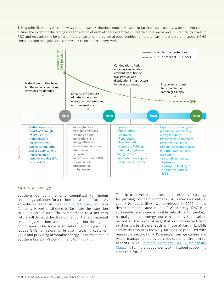This graphic illustrates potential ways natural gas distribution companies can help facilitate an economy-wide net zero carbon future. The extent of the timing and application of each of these examples is uncertain, but we believe it is critical to invest in R&D and recognize the benefits of natural gas and the potential opportunities for natural gas infrastructure to support GHG emission reduction goals across the value chain and economy-wide.



# Future of Energy

Southern Company remains committed to finding technology solutions for a carbon-constrained future. As an industry leader in R&D for [over 50 years](https://www.southerncompany.com/innovation/research-and-development.html), Southern Company is well-positioned to facilitate the transition to a net zero future. The commitment to a net zero future will demand the development of transformational technology solutions and their integration throughout our business. Our focus is to deliver technologies that reduce GHG emissions while also increasing customer value and providing affordable energy. Read more about Southern Company's commitment to **Innovation**.

To help us develop and execute an effective strategy for growing Southern Company Gas' renewable natural gas (RNG) capabilities, we developed in 2020 a new department dedicated to our RNG strategy. RNG is a sustainable and interchangeable substitute for geologic natural gas. It is an energy source that is considered carbon neutral at the point of use, that can be derived from existing waste streams, such as those at farms, landfills and water resources recovery facilities, or produced with renewable electricity. RNG sources from agriculture and waste management provide cross-sector environmental benefits. Visit [Southern Company Gas' Sustainability](https://sustainability.southerncompanygas.com) [Magazine](https://sustainability.southerncompanygas.com) for more about how we think about supporting a net zero future.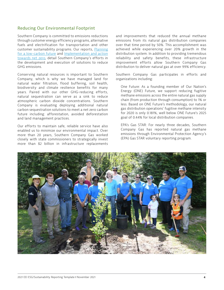### Reducing Our Environmental Footprint

Southern Company is committed to emissions reductions through customer energy efficiency programs, alternative fuels and electrification for transportation and other customer sustainability programs. Our reports, [Planning](https://www.southerncompany.com/content/dam/southerncompany/pdfs/about/governance/reports/Planning-for-a-low-carbon-future_PDF4.pdf?_ga=2.141634354.1623928877.1628112323-322320198.1619197787) [for a low-carbon future](https://www.southerncompany.com/content/dam/southerncompany/pdfs/about/governance/reports/Planning-for-a-low-carbon-future_PDF4.pdf?_ga=2.141634354.1623928877.1628112323-322320198.1619197787) and [Implementation and action](https://www.southerncompany.com/content/dam/southerncompany/pdfs/about/governance/reports/Net-zero-report_PDF1.pdf?_ga=2.145777332.1623928877.1628112323-322320198.1619197787)  [towards net zero,](https://www.southerncompany.com/content/dam/southerncompany/pdfs/about/governance/reports/Net-zero-report_PDF1.pdf?_ga=2.145777332.1623928877.1628112323-322320198.1619197787) detail Southern Company's efforts in the development and execution of solutions to reduce GHG emissions.

Conserving natural resources is important to Southern Company, which is why we have managed land for natural water filtration, flood buffering, soil health, biodiversity and climate resilience benefits for many years. Paired with our other GHG-reducing efforts, natural sequestration can serve as a sink to reduce atmospheric carbon dioxide concentrations. Southern Company is evaluating deploying additional natural carbon sequestration solutions to meet a net zero carbon future including: afforestation, avoided deforestation and land management practices.

Our efforts to maintain safe, reliable service have also enabled us to minimize our environmental impact. Over more than 20 years, Southern Company Gas worked closely with state commissioners to strategically invest more than \$2 billion in infrastructure replacements and improvements that reduced the annual methane emissions from its natural gas distribution companies over that time period by 50%. This accomplishment was achieved while experiencing over 20% growth in the distribution system. In addition to providing tremendous reliability and safety benefits, these infrastructure improvement efforts allow Southern Company Gas distribution to deliver natural gas at over 99% efficiency.

Southern Company Gas participates in efforts and organizations including:

One Future: As a founding member of Our Nation's Energy (ONE) Future, we support reducing fugitive methane emissions across the entire natural gas supply chain (from production through consumption) to 1% or less. Based on ONE Future's methodology, our natural gas distribution operations' fugitive methane intensity for 2020 is only 0.181%, well below ONE Future's 2025 goal of 0.44% for local distribution companies.

EPA's Gas STAR: For nearly three decades, Southern Company Gas has reported natural gas methane emissions through Environmental Protection Agency's (EPA) Gas STAR voluntary reporting program.

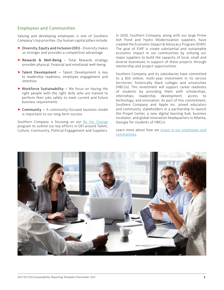### Employees and Communities

Valuing and developing employees is one of Southern Company's top priorities. Our human capital pillars include:

- ▶ Diversity, Equity and Inclusion (DEI) Diversity makes us stronger and provides a competitive advantage
- > Rewards & Well-Being Total Rewards strategy provides physical, financial and emotional well-being
- ▶ Talent Development Talent Development is key to leadership readiness, employee engagement and retention
- > Workforce Sustainability We focus on having the right people with the right skills who are trained to perform their jobs safely to meet current and future business requirements
- > Community A community-focused business model is important to our long-term success

Southern Company is focusing on our [Be the Change](http://southerncompany.info/bethechange/?_ga=2.130861063.944163689.1629901664-1714970040.1629208903) program to outline our key efforts in DEI around Talent, Culture, Community, Political Engagement and Suppliers. In 2020, Southern Company, along with our large Prime Ash Pond and Hydro Modernization suppliers, have created the Economic Impact & Advocacy Program (EIAP). The goal of EIAP is create substantial and sustainable economic impact in our communities by utilizing our major suppliers to build the capacity of local, small and diverse businesses in support of these projects through mentorship and project opportunities.

Southern Company and its subsidiaries have committed to a \$50 million, multi-year investment in its service territories' historically black colleges and universities (HBCUs). This investment will support career readiness of students by providing them with scholarships, internships, leadership development, access to technology, and innovation. As part of this commitment, Southern Company and Apple Inc. joined educators and community stakeholders in a partnership to launch the Propel Center, a new digital learning hub, business incubator, and global innovation headquarters in Atlanta, Georgia for students of HBCUs.

Learn more about how we [invest in our employees and](https://www.southerncompany.com/about/company-values.html) [communities.](https://www.southerncompany.com/about/company-values.html)

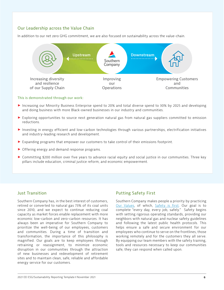# Our Leadership across the Value Chain

In addition to our net zero GHG commitment, we are also focused on sustainability across the value-chain.



#### This is demonstrated through our work:

- > Increasing our Minority Business Enterprise spend to 20% and total diverse spend to 30% by 2025 and developing and doing business with more Black-owned businesses in our industry and communities.
- > Exploring opportunities to source next generation natural gas from natural gas suppliers committed to emission reductions.
- > Investing in energy efficient and low-carbon technologies through various partnerships, electrification initiatives and industry-leading research and development.
- > Expanding programs that empower our customers to take control of their emissions footprint.
- ▶ Offering energy and demand response programs.
- > Committing \$200 million over five years to advance racial equity and social justice in our communities. Three key pillars include education, criminal justice reform, and economic empowerment.

#### Just Transition

Southern Company has, in the best interest of customers, retired or converted to natural gas 73% of its coal units since 2010, and we expect to continue reducing coal capacity as market forces enable replacement with more economic low-carbon and zero-carbon resources. It has always been an imperative for Southern Company to prioritize the well-being of our employees, customers and communities. During a time of transition and transformation, the importance of this philosophy is magnified. Our goals are to keep employees through retraining or reassignment, to minimize economic disruption in our communities through the attraction of new businesses and redevelopment of retirement sites and to maintain clean, safe, reliable and affordable energy service for our customers.

#### Putting Safety First

Southern Company makes people a priority by practicing [Our Values](https://www.southerncompany.com/about/company-values.html), of which, [Safety is first.](https://www.southerncompany.com/our-community/safety.html) Our goal is to complete "every day, every job, safely." Safety begins with setting rigorous operating standards, providing our neighbors with natural gas and nuclear safety guidelines and following the latest public health protocols. This helps ensure a safe and secure environment for our employees who continue to serve on the frontlines, those working remotely and for the customers they all serve. By equipping our team members with the safety training, tools and resources necessary to keep our communities safe, they can respond when called upon.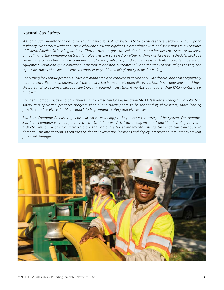#### Natural Gas Safety

*We continually monitor and perform regular inspections of our systems to help ensure safety, security, reliability and resiliency. We perform leakage surveys of our natural gas pipelines in accordance with and sometimes in exceedance of Federal Pipeline Safety Regulations. That means our gas transmission lines and business districts are surveyed annually and the remaining distribution pipelines are surveyed on either a three- or five-year schedule. Leakage surveys are conducted using a combination of aerial, vehicular, and foot surveys with electronic leak detection equipment. Additionally, we educate our customers and non-customers alike on the smell of natural gas so they can report instances of suspected leaks as another way of "surveilling" our systems for leakage.*

*Concerning leak repair protocols, leaks are monitored and repaired in accordance with federal and state regulatory requirements. Repairs on hazardous leaks are started immediately upon discovery. Non-hazardous leaks that have the potential to become hazardous are typically repaired in less than 6 months but no later than 12-15 months after discovery.*

*Southern Company Gas also participates in the American Gas Association (AGA) Peer Review program, a voluntary safety and operation practices program that allows participants to be reviewed by their peers, share leading practices and receive valuable feedback to help enhance safety and efficiencies.*

*Southern Company Gas leverages best-in-class technology to help ensure the safety of its system. For example, Southern Company Gas has partnered with Urbint to use Artificial Intelligence and machine learning to create a digital version of physical infrastructure that accounts for environmental risk factors that can contribute to damage. This information is then used to identify excavation locations and deploy intervention resources to prevent potential damages.* 

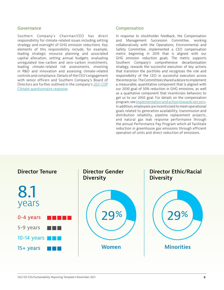#### Governance

Southern Company's Chairman/CEO has direct responsibility for climate-related issues including setting strategy and oversight of GHG emission reductions. Key elements of this responsibility include, for example, leading strategic resource planning and associated capital allocation, setting annual budgets, evaluating unregulated low-carbon and zero-carbon investments, leading climate-related risk assessments, investing in R&D and innovation and assessing climate-related controls and compliance. Details of the CEO's engagement with senior officers and Southern Company's Board of Directors are further outlined in the company's [2021 CDP](https://www.southerncompany.com/content/dam/southerncompany/pdfs/about/governance/reports/CDP-Climate-Disclosure-2021.pdf)  [Climate questionnaire response.](https://www.southerncompany.com/content/dam/southerncompany/pdfs/about/governance/reports/CDP-Climate-Disclosure-2021.pdf)

#### Compensation

In response to stockholder feedback, the Compensation and Management Succession Committee, working collaboratively with the Operations, Environmental and Safety Committee, implemented a CEO compensation metric beginning in 2019 that is aligned with our GHG emission reduction goals. The metric supports Southern Company's comprehensive decarbonization strategy, rewards the successful execution of key actions that transition the portfolio and recognizes the role and responsibility of the CEO in successful execution across the enterprise. The Committees shared a desire to implement a measurable, quantitative component that is aligned with our 2030 goal of 50% reduction in GHG emissions, as well as a qualitative component that incentivizes behaviors to get us to our 2050 goal. For details on the compensation program, see [Implementation and action towards net zero.](https://www.southerncompany.com/content/dam/southerncompany/pdfs/about/governance/reports/Net-zero-report_PDF1.pdf?_ga=2.145777332.1623928877.1628112323-322320198.1619197787) In addition, employees are incentivized to meet operational goals related to generation availability, transmission and distribution reliability, pipeline replacement projects, and natural gas leak response performance through the annual Performance Pay Program which all facilitate reduction in greenhouse gas emissions through efficient operation of units and direct reduction of emissions.

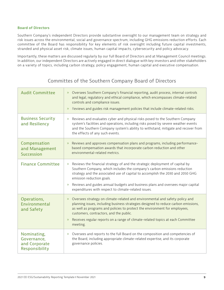#### **Board of Directors**

Southern Company's independent Directors provide substantive oversight to our management team on strategy and risk issues across the environmental, social and governance spectrum, including GHG emissions reduction efforts. Each committee of the Board has responsibility for key elements of risk oversight including future capital investments, stranded and physical asset risk, climate issues, human capital impacts, cybersecurity and policy advocacy.

Importantly, these matters are discussed regularly by our full Board of Directors and at Management Council meetings. In addition, our independent Directors are actively engaged in direct dialogue with key investors and other stakeholders on a variety of topics, including carbon strategy, policy engagement, human capital and executive compensation.

| <b>Audit Committee</b>                                        | Oversees Southern Company's financial reporting, audit process, internal controls<br>$\rangle$<br>and legal, regulatory and ethical compliance, which encompasses climate-related<br>controls and compliance issues.<br>Reviews and guides risk management policies that include climate-related risks.<br>$\mathcal{Y}$                                                                                                                          |
|---------------------------------------------------------------|---------------------------------------------------------------------------------------------------------------------------------------------------------------------------------------------------------------------------------------------------------------------------------------------------------------------------------------------------------------------------------------------------------------------------------------------------|
| <b>Business Security</b><br>and Resiliency                    | Reviews and evaluates cyber and physical risks posed to the Southern Company<br>$\lambda$<br>system's facilities and operations, including risks posed by severe weather events<br>and the Southern Company system's ability to withstand, mitigate and recover from<br>the effects of any such events.                                                                                                                                           |
| Compensation<br>and Management<br><b>Succession</b>           | Reviews and approves compensation plans and programs, including performance-<br>$\lambda$<br>based compensation awards that incorporate carbon reduction and other<br>environmental-related metrics.                                                                                                                                                                                                                                              |
| <b>Finance Committee</b>                                      | Reviews the financial strategy of and the strategic deployment of capital by<br>$\lambda$<br>Southern Company, which includes the company's carbon emissions reduction<br>strategy and the associated use of capital to accomplish the 2030 and 2050 GHG<br>emission reduction goals.<br>Reviews and guides annual budgets and business plans and oversees major capital<br>$\mathcal{Y}$<br>expenditures with respect to climate-related issues. |
| Operations,<br>Environmental<br>and Safety                    | Oversees strategy on climate-related and environmental and safety policy and<br>$\mathcal{Y}$<br>planning issues, including business strategies designed to reduce carbon emissions,<br>as well as programs and policies to protect the environment for employees,<br>customers, contractors, and the public.<br>Receives regular reports on a range of climate-related topics at each Committee<br>$\mathcal{Y}$<br>meeting.                     |
| Nominating,<br>Governance,<br>and Corporate<br>Responsibility | Oversees and reports to the full Board on the composition and competencies of<br>$\lambda$<br>the Board, including appropriate climate-related expertise, and its corporate<br>governance policies.                                                                                                                                                                                                                                               |

# Committes of the Southern Company Board of Directors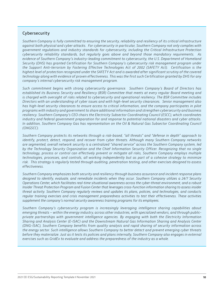### Cybersecurity

*Southern Company is fully committed to ensuring the security, reliability and resiliency of its critical infrastructure against both physical and cyber attacks. For cybersecurity in particular, Southern Company not only complies with government regulations and industry standards for cybersecurity, including the Critical Infrastructure Protection cybersecurity reliability standards, but regularly goes above and beyond those mandatory requirements. As evidence of Southern Company's industry-leading commitment to cybersecurity, the U.S. Department of Homeland Security (DHS) has granted Certification for Southern Company's cybersecurity risk management program under the Support Anti-terrorism by Fostering Effective Technologies Act of 2002 (SAFETY Act). Certification is the highest level of protection recognized under the SAFETY Act and is awarded after significant scrutiny of the covered technology along with evidence of proven effectiveness. This was the first such Certification granted by DHS for any company's internal cybersecurity risk management program.* 

*Such commitment begins with strong cybersecurity governance. Southern Company's Board of Directors has established its Business Security and Resiliency (BSR) Committee that meets at every regular Board meeting and*  is charged with oversight of risks related to cybersecurity and operational resiliency. The BSR Committee includes *Directors with an understanding of cyber issues and with high-level security clearances. Senior management also has high-level security clearances to ensure access to critical information, and the company participates in pilot programs with industry and government to share additional information and strengthen cybersecurity and business resiliency. Southern Company's CEO chairs the Electricity Subsector Coordinating Council (ESCC), which coordinates industry and federal government preparation for and response to potential national disasters and cyber attacks. In addition, Southern Company Gas has representation on the Oil & Natural Gas Subsector Coordinating Council (ONGSCC).*

*Southern Company protects its networks through a risk-based, "all threats" and "defense in depth" approach to identify, protect, detect, respond, and recover from cyber threats. Although many Southern Company networks are segmented, overall network security is a centralized "shared service" across the Southern Company system, led by the Technology Security Organization and the Chief Information Security Officer. Recognizing that no single technology, process or control can effectively prevent or mitigate all risks, Southern Company employs multiple technologies, processes, and controls, all working independently but as part of a cohesive strategy to minimize risk. This strategy is regularly tested through auditing, penetration testing, and other exercises designed to assess effectiveness.*

*Southern Company emphasizes both security and resiliency through business assurance and incident response plans designed to identify, evaluate, and remediate incidents when they occur. Southern Company utilizes a 24/7 Security Operations Center, which facilitates real-time situational awareness across the cyber-threat environment, and a robust Insider Threat Protection Program and Fusion Center that leverages cross-function information sharing to assess insider threat activity. Southern Company regularly reviews and updates its plans, policies, and technologies, and conducts regular training exercises and crisis management preparedness activities to test their effectiveness. These activities supplement the company's normal security awareness training programs for its employees.*

*Southern Company's cybersecurity program is increasingly leveraging intelligence sharing capabilities about emerging threats – within the energy industry, across other industries, with specialized vendors, and through publicprivate partnerships with government intelligence agencies. By engaging with both the Electricity Information Sharing and Analysis Center (E-ISAC) and the Downstream Natural Gas Information Sharing and Analysis Center (DNG-ISAC), Southern Company benefits from quality analysis and rapid sharing of security information across the energy sector. Such intelligence allows Southern Company to better detect and prevent emerging cyber threats before they materialize. Just as it tests its policies and plans internally, Southern Company also engages in external exercises such as GridEx to evaluate and address the preparedness of the industry as a whole.*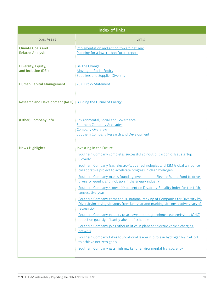| Index of links                                                 |                                                                                                                                                                                   |  |  |  |
|----------------------------------------------------------------|-----------------------------------------------------------------------------------------------------------------------------------------------------------------------------------|--|--|--|
| <b>Topic Areas</b>                                             | Links                                                                                                                                                                             |  |  |  |
| <b>Climate Goals and</b><br><b>Related Analysis</b>            | Implementation and action toward net zero<br>Planning for a low-carbon future report                                                                                              |  |  |  |
| Diversity, Equity,<br>and Inclusion (DEI)                      | <b>Be The Change</b><br><b>Moving to Racial Equity</b><br><b>Suppliers and Supplier Diversity</b>                                                                                 |  |  |  |
| Human Capital Management                                       | 2021 Proxy Statement                                                                                                                                                              |  |  |  |
| Research and Development (R&D) : Building the Future of Energy |                                                                                                                                                                                   |  |  |  |
| (Other) Company Info                                           | <b>Environmental, Social and Governance</b><br><b>Southern Company Accolades</b><br><b>Company Overview</b><br>Southern Company Research and Development                          |  |  |  |
| <b>News Highlights</b>                                         | Investing in the Future                                                                                                                                                           |  |  |  |
|                                                                | · Southern Company completes successful spinout of carbon offset startup<br>Cloverly                                                                                              |  |  |  |
|                                                                | Southern Company Gas, Electro-Active Technologies and T2M Global announce<br>collaborative project to accelerate progress in clean hydrogen                                       |  |  |  |
|                                                                | Southern Company makes founding investment in Elevate Future Fund to drive<br>diversity, equity, and inclusion in the energy industry                                             |  |  |  |
|                                                                | · Southern Company scores 100 percent on Disability Equality Index for the fifth<br>consecutive year                                                                              |  |  |  |
|                                                                | Southern Company earns top 20 national ranking of Companies for Diversity by<br>Diversitylnc, rising six spots from last year and marking six consecutive years of<br>recognition |  |  |  |
|                                                                | · Southern Company expects to achieve interim greenhouse gas emissions (GHG)<br>reduction goal significantly ahead of schedule                                                    |  |  |  |
|                                                                | · Southern Company joins other utilities in plans for electric vehicle charging<br>network                                                                                        |  |  |  |
|                                                                | · Southern Company takes foundational leadership role in hydrogen R&D effort                                                                                                      |  |  |  |
|                                                                | to achieve net-zero goals                                                                                                                                                         |  |  |  |
|                                                                | · Southern Company gets high marks for environmental transparency                                                                                                                 |  |  |  |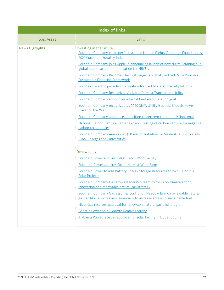| Index of links         |                                                                                                                                                         |  |  |  |
|------------------------|---------------------------------------------------------------------------------------------------------------------------------------------------------|--|--|--|
| <b>Topic Areas</b>     | Links                                                                                                                                                   |  |  |  |
| <b>News Highlights</b> | Investing in the Future<br>Southern Company earns perfect score in Human Rights Campaign Foundation's<br>2021 Corporate Equality Index                  |  |  |  |
|                        | Southern Company joins Apple in announcing launch of new digital learning hub,<br>global headquarters for innovation for HBCUs                          |  |  |  |
|                        | Southern Company Becomes the First Large Cap Utility in the U.S. to Publish a<br><b>Sustainable Financing Framework</b>                                 |  |  |  |
|                        | Southeast electric providers to create advanced bilateral market platform                                                                               |  |  |  |
|                        | Southern Company Recognized As Nation's Most Transparent Utility                                                                                        |  |  |  |
|                        | Southern Company announces internal fleet electrification goal                                                                                          |  |  |  |
|                        | Southern Company recognized as 2020 SEPA Utility Business Models Power<br>Player of the Year                                                            |  |  |  |
|                        | Southern Company announces transition to net-zero carbon emissions goal                                                                                 |  |  |  |
|                        | National Carbon Capture Center expands testing of carbon capture for negative<br>carbon technologies                                                    |  |  |  |
|                        | Southern Company Announces \$50 million Initiative for Students at Historically<br><b>Black Colleges and Universities</b>                               |  |  |  |
|                        | <b>Renewables</b>                                                                                                                                       |  |  |  |
|                        | · Southern Power acquires Glass Sands Wind Facility                                                                                                     |  |  |  |
|                        | · Southern Power acquires Deuel Harvest Wind Farm                                                                                                       |  |  |  |
|                        | Southern Power to add Battery Energy Storage Resources to two California<br>Solar Projects                                                              |  |  |  |
|                        | Southern Company Gas grows leadership team to focus on climate action,<br>innovation and renewable natural gas strategy                                 |  |  |  |
|                        | Southern Company Gas assumes control of Meadow Branch renewable natural<br>gas facility, launches new subsidiary to increase access to sustainable fuel |  |  |  |
|                        | · Nicor Gas receives approval for renewable natural gas pilot program                                                                                   |  |  |  |
|                        | · Georgia Power Solar Growth Remains Strong                                                                                                             |  |  |  |
|                        | · Alabama Power receives approval for solar facility in Butler County                                                                                   |  |  |  |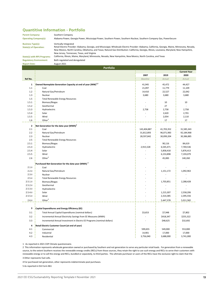#### **Quantitive Information - Portfolio**

Parent Company: Operating Company(s):

#### Southern Company

State(s) of Operation: Business Type(s):

Alabama Power, Georgia Power, Mississippi Power, Southern Power, Southern Nuclear, Southern Company Gas, PowerSecure

Vertically Integrated

Both regulated and deregulated

August 2021

Retail Electric Provider: Alabama, Georgia, and Mississippi; Wholesale Electric Provider: Alabama, California, Georgia, Maine, Minnesota, Nevada, New Mexico, North Carolina, Oklahoma, and Texas; Natural Gas Distribution: California, Georgia, Illinois, Louisiana, Maryland, New Hampshire, New Jersey, Tennessee, Texas, and Virginia

State(s) with RPS Programs: California, Illinois, Maine, Maryland, Minnesota, Nevada, New Hampshire, New Mexico, North Carolina, and Texas Regulatory Environment:

Report Date:

Current Year 2007 2019 2020 Ref No. **Baseline Actual Actual Actual Actual Actual Actual Actual Actual Actual** Actual Actual Actual Actual Actual 1 Owned Nameplate Generation Capacity at end of year (MW)<sup>1,2</sup> and the state of the definition of the definition of the definition of the definition of the definition of the definition of the definition of the definition o 1.1 Coal Coal 21,097 11,779 11,109 1.2 Natural Gas/Petroleum and the control of the control of the control of the control of the control of the control of the control of the control of the control of the control of the control of the control of the control 1.3 Nuclear 3,680 3,680 3,680 3,680 3,680 3,680 3,680 3,680 3,680 3,680 3,680 3,680 3,680 3,680 3,680 3,680 3, 1.5 1.5.1 Biomass/Biogas **1.5.1 Biomass/Biogas** 1.5.1 Biomass/Biogas 1.5.1 Biomass/Biogas 1.5.1 Biomass/Biogas 1.5 1.5.2 **Geothermal 1.5.2 Geothermal 1.5.2 C 27 C 27 C 27 C** 1.5.3 **By September 2,758** 2,758 2,758 2,758 2,758 2,758 2,758 2,758 2,758 2,758 2,758 2,758 2,758 2,758 1 2,758 1.5.4 Solar - 2,620 2,701 1.5.5 Wind 2,054 2,110 1.6 Other<sup>3</sup> 17 17 17 17 2 2.1 Coal Coal 2.1 Coal 2.1 Coal 2.1 Coal 2.1 Coal 2.1 Coal 2.1 Coal 2.1 Coal 2.1 Coal 2.1 Coal 2.1 Coal 2.1 Co 2.2 31,812,893 96,071,983 92,184,968 Natural Gas/Petroleum 2.3 i Nuclear 2009,204 i 30,386,885 and 28,597,842 i 30,099,204 i 30,386,885  $2.5$ 2.5.1 Biomass/Biogas 84,619 Biomass/Biogas 84,619 Biomass/Biogas 84,619 Biomass/Biogas 84,619 Biomass/Biogas 84,619 2.5.3 Bydroelectric **2.5.3 Bydroelectric** 2.915,528 Bydroelectric **2.915,528** Bydroelectric 2.5.4 Solar - 5,858,418 5,876,413 2.5.5 Wind 2.5.5 Wind 2.5.5 Wind 2.5.5 Wind 2.5.5 Wind 2.5.5 Wind 2.5.5 Wind 2.5.5 Wind 2.5.5 Wind 2.5.5 Wind 2.5 Minutes 2.5.5 Wind 2.5 Minutes 2.5 Minutes 2.5 Minutes 2.5 Minutes 2.5 Minutes 2.5 Minutes 2.5 Minutes 2.5 M 2.6 Other<sup>3</sup> - Alexander Christian Christian Christian Christian Christian Christian Christian Christian Christian Christian Christian Christian Christian Christian Christian Christian Christian Christian Christian Christi 2.1.ii Coal - - - 2.2.ii <mark>|</mark> Natural Gas/Petroleum | 1,151,172 | 1,092,963 2.3.ii Nuclear - - - 2.5.ii - - - Total Renewable Energy Resources 2.5.1.ii - 1,703,851 2,288,428 2.5.2.ii Geothermal and the contract of the contract of the contract of the contract of the contract of the contract of the contract of the contract of the contract of the contract of the contract of the contract of the co 2.5.3.ii - - - 2.5.4.ii Solar - 1,215,307 2,558,206 2.5.5.ii | Wind - 2,314,385 | 2,395,556 | 2,395,556 | 2,395,556 | 2,395,556 | 2,395,556 | 2,395,556 | 2,395,556 2.6.ii Other<sup>4</sup> 5,011,582 3 3.1 **Total Annual Capital Expenditures (nominal dollars)** (and the state of the state of the state of the state of the state of the state of the state of the state of the state of the state of the state of the state of the 3.2 - \$418,347 \$255,322 Incremental Annual Electricity Savings from EE Measures (MWh) 3.3 contract and the state of the state of the state of the state of the state of the state of the state of the state of the state of the state of the state of the state of the state of the state of the state of the state 4 4.1 Commercial 69 Commercial Commercial Commercial Service Commercial Commercial Service Commercial Service Commercial Service Commercial Service Commercial Commercial Service Commercial Service Commercial Commercial Comme 4.2 Industrial 17,000 17,000 17,000 17,000 17,000 17,000 17,000 17,000 17,000 17,000 17,000 17,000 17,000 17,000 Portfolio Total Renewable Energy Resources Biomass/Biogas Geothermal Hydroelectric Biomass/Biogas Net Generation for the data year  ${(MWh)}^2$ Total Renewable Energy Resources Hydroelectric Purchased Net Generation for the data year (MWh)<sup>2</sup> Biomass/Biogas Geothermal Hydroelectric Capital Expenditures and Energy Efficiency (EE) Retail Electric Customer Count (at end of year)

4.3 <mark>, Residential 3,756,040 , 3,756,040 , 3,688,000 , 3,741,000</mark>

1 As reported in 2021 CDP Climate questionnaire.

2 This information represents wholesale generation owned or purchased by Southern and not generation to serve any particular retail loads. For generation from a renewable source, to the extent Southern receives the renewable energy credits (RECs) from those sources, they retain the right to use such energy and RECs to serve their customers with renewable energy or to sell the energy and RECs, bundled or separately, to third parties. The ultimate purchaser or users of the RECs have the exclusive right to claim that the

3 Other represents fuel cells.

4 For purchased net generation, other represents indeterminate pool purchases.

5 As reported in EIA Form 861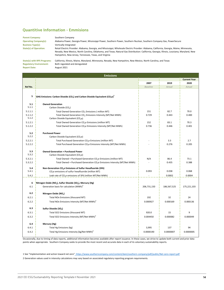#### **Quantitive Information - Emmisions**

Southern Company Vertically Integrated Parent Company: Operating Company(s): State(s) of Operation: Business Type(s): Retail Electric Provider: Alabama, Georgia, and Mississippi; Wholesale Electric Provider: Alabama, California, Georgia, Maine, Minnesota, Nevada, New Mexico, North Carolina, Oklahoma, and Texas; Natural Gas Distribution: California, Georgia, Illinois, Louisiana, Maryland, New Hampshire, New Jersey, Tennessee, Texas, and Virginia Alabama Power, Georgia Power, Mississippi Power, Southern Power, Southern Nuclear, Southern Company Gas, PowerSecure

Regulatory Environment: Report Date:

August 2021 Both regulated and deregulated State(s) with RPS Programs: California, Illinois, Maine, Maryland, Minnesota, Nevada, New Hampshire, New Mexico, North Carolina, and Texas

|              | <b>Emissions</b>                                                                                                |                 |             |                     |
|--------------|-----------------------------------------------------------------------------------------------------------------|-----------------|-------------|---------------------|
|              |                                                                                                                 |                 |             | <b>Current Year</b> |
|              |                                                                                                                 | 2007            | 2019        | 2020                |
| Ref No.      |                                                                                                                 | <b>Baseline</b> | Actual      | Actual              |
|              |                                                                                                                 |                 |             |                     |
| 5            | GHG Emissions: Carbon Dioxide (CO <sub>2</sub> ) and Carbon Dioxide Equivalent (CO <sub>2</sub> e) <sup>1</sup> |                 |             |                     |
|              |                                                                                                                 |                 |             |                     |
| 5.1          | <b>Owned Generation</b>                                                                                         |                 |             |                     |
| 5.1.1        | Carbon Dioxide (CO <sub>2</sub> )                                                                               |                 |             |                     |
| 5.1.1.1      | Total Owned Generation CO <sub>2</sub> Emissions (million MT)                                                   | 151             | 82.7        | 70.0                |
| 5.1.1.2      | Total Owned Generation CO <sub>2</sub> Emissions Intensity (MT/Net MWh)                                         | 0.729           | 0.443       | 0.400               |
| 5.1.2        | Carbon Dioxide Equivalent (CO <sub>2</sub> e)                                                                   |                 |             |                     |
| 5.1.2.1      | Total Owned Generation CO <sub>2</sub> e Emissions (million MT)                                                 | 152             | 83.1        | 70.3                |
| 5.1.2.2      | Total Owned Generation CO <sub>2</sub> e Emissions Intensity (MT/Net MWh)                                       | 0.736           | 0.446       | 0.401               |
| 5.2          | <b>Purchased Power</b>                                                                                          |                 |             |                     |
| 5.2.2        | Carbon Dioxide Equivalent (CO <sub>2</sub> e)                                                                   |                 |             |                     |
| 5.2.2.1      | Total Purchased Generation CO <sub>2</sub> e Emissions (million MT)                                             |                 | 3.3         | 2.7                 |
| 5.2.2.2      | Total Purchased Generation CO <sub>2</sub> e Emissions Intensity (MT/Net MWh)                                   |                 | 0.276       | 0.205               |
|              |                                                                                                                 |                 |             |                     |
| 5.3          | <b>Owned Generation + Purchased Power</b>                                                                       |                 |             |                     |
| 5.3.2        | Carbon Dioxide Equivalent (CO <sub>2</sub> e)                                                                   |                 |             |                     |
| 5.3.2.1      | Total Owned + Purchased Generation CO <sub>2</sub> e Emissions (million MT)                                     | N/A             | 86.4        | 73.1                |
| 5.3.2.2      | Total Owned + Purchased Generation CO <sub>2</sub> e Emissions Intensity (MT/Net MWh)                           |                 | 0.435       | 0.388               |
| 5.4          | Non-Generation CO <sub>2</sub> e Emissions of Sulfur Hexafluoride (SF6)                                         |                 |             |                     |
| 5.4.1        | CO <sub>2</sub> e emissions of sulfur hexafluoride (million MT)                                                 | 0.093           | 0.038       | 0.068               |
| 5.4.2        | Leak rate of $CO2e$ emissions of SF6 (million MT/Net MWh)                                                       |                 | 0.0002      | 0.0004              |
|              |                                                                                                                 |                 |             |                     |
| 6            | Nitrogen Oxide (NO <sub>v</sub> ), Sulfur Dioxide (SO <sub>2</sub> ), Mercury (Hg)                              |                 |             |                     |
| 6.1          | Generation basis for calculation (MWh) <sup>2</sup>                                                             | 206,731,150     | 186,567,525 | 175,221,103         |
| 6.2          | Nitrogen Oxide (NO <sub>x</sub> )                                                                               |                 |             |                     |
| 6.2.1        | Total NOx Emissions (thousand MT)                                                                               | 192             | 32          | 24                  |
| 6.2.2        | Total NOx Emissions Intensity (MT/Net MWh) <sup>2</sup>                                                         | 0.000927        | 0.000169    | 0.000136            |
|              |                                                                                                                 |                 |             |                     |
| 6.3          | Sulfur Dioxide (SO <sub>2</sub> )                                                                               |                 |             |                     |
| 6.3.1        | Total SO2 Emissions (thousand MT)                                                                               | 920.0           | 15          | 9                   |
| 6.3.2        | Total SO2 Emissions Intensity (MT/Net MWh) <sup>2</sup>                                                         | 0.004450        | 0.000082    | 0.000049            |
|              |                                                                                                                 |                 |             |                     |
| 6.4<br>6.4.1 | Mercury (Hg)                                                                                                    |                 | 137         | 94                  |
|              | Total Hg Emissions (kg)                                                                                         | 3,995           |             |                     |
| 6.4.2        | Total Hg Emissions Intensity (kg/Net MWh) <sup>2</sup>                                                          | 0.0000190       | 0.0000007   | 0.0000005           |

Occasionally, due to timing of data reports, additional information becomes available after report issuance. In these cases, we strive to update both current and prior data points when appropriate. Southern Company seeks to provide the most recent and accurate data in each of its voluntary sustainability reports.

1 See "Implementation and action toward net zero" https://www.southerncompany.com/content/dam/southern-company/pdf/public/Net-zero-report.pdf

2 Generation values used in intensity calculations may vary based on associated regulatory reporting program requirements.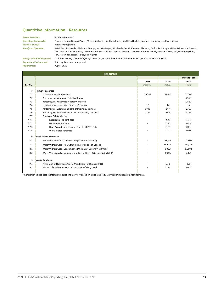#### **Quantitive Information - Resources**

| <b>Parent Company:</b>         | Southern Company                                                                                                                                                                                                                                                                                                                                 |
|--------------------------------|--------------------------------------------------------------------------------------------------------------------------------------------------------------------------------------------------------------------------------------------------------------------------------------------------------------------------------------------------|
| <b>Operating Company(s):</b>   | Alabama Power, Georgia Power, Mississippi Power, Southern Power, Southern Nuclear, Southern Company Gas, PowerSecure                                                                                                                                                                                                                             |
| <b>Business Type(s):</b>       | Vertically Integrated                                                                                                                                                                                                                                                                                                                            |
| <b>State(s) of Operation:</b>  | Retail Electric Provider: Alabama, Georgia, and Mississippi; Wholesale Electric Provider: Alabama, California, Georgia, Maine, Minnesota, Nevada,<br>New Mexico, North Carolina, Oklahoma, and Texas; Natural Gas Distribution: California, Georgia, Illinois, Louisiana, Maryland, New Hampshire,<br>New Jersey, Tennessee, Texas, and Virginia |
| State(s) with RPS Programs:    | California, Illinois, Maine, Maryland, Minnesota, Nevada, New Hampshire, New Mexico, North Carolina, and Texas                                                                                                                                                                                                                                   |
| <b>Regulatory Environment:</b> | Both regulated and deregulated                                                                                                                                                                                                                                                                                                                   |
| <b>Report Date:</b>            | August 2021                                                                                                                                                                                                                                                                                                                                      |

|         | <b>Resources</b>                                                               |                 |         |                     |
|---------|--------------------------------------------------------------------------------|-----------------|---------|---------------------|
|         |                                                                                |                 |         | <b>Current Year</b> |
|         |                                                                                | 2007            | 2019    | 2020                |
| Ref No. |                                                                                | <b>Baseline</b> | Actual  | Actual              |
| 7       | <b>Human Resources</b>                                                         |                 |         |                     |
| 7.1     | <b>Total Number of Employees</b>                                               | 26,742          | 27,943  | 27,700              |
| 7.2     | Percentage of Women in Total Workforce                                         |                 |         | 25 %                |
| 7.3     | Percentage of Minorities in Total Workforce                                    | $\sim$          |         | 28 %                |
| 7.4     | Total Number on Board of Directors/Trustees                                    | 12              | 14      | 13                  |
| 7.5     | Percentage of Women on Board of Directors/Trustees                             | 17%             | 14 %    | 23 %                |
| 7.6     | Percentage of Minorities on Board of Directors/Trustees                        | 17%             | 21%     | 31%                 |
| 7.7     | <b>Employee Safety Metrics</b>                                                 |                 |         |                     |
| 7.7.1   | Recordable Incident Rate                                                       |                 | 1.37    | 1.11                |
| 7.7.2   | Lost-time Case Rate                                                            |                 | 0.26    | 0.39                |
| 7.7.3   | Days Away, Restricted, and Transfer (DART) Rate                                |                 | 0.78    | 0.81                |
| 7.7.4   | <b>Work-related Fatalities</b>                                                 |                 | 0.00    | 0.00                |
| 8       | <b>Fresh Water Resources</b>                                                   |                 |         |                     |
| 8.1     | Water Withdrawals - Consumptive (Millions of Gallons)                          |                 | 75,974  | 71,606              |
| 8.2     | Water Withdrawals - Non-Consumptive (Millions of Gallons)                      |                 | 869,360 | 679,900             |
| 8.1     | Water Withdrawals - Consumptive (Millions of Gallons/Net MWh) <sup>1</sup>     |                 | 0.0004  | 0.0004              |
| 8.2     | Water Withdrawals - Non-consumptive (Millions of Gallons/Net MWh) <sup>1</sup> |                 | 0.005   | 0.004               |
| 9       | <b>Waste Products</b>                                                          |                 |         |                     |
| 9.1     | Amount of of Hazardous Waste Manifested for Disposal (MT)                      |                 | 258     | 196                 |
| 9.2     | Percent of Coal Combustion Products Beneficially Used                          |                 | 0.97    | 0.93                |

<sup>1</sup> Generation values used in intensity calculations may vary based on associated regulatory reporting program requirements.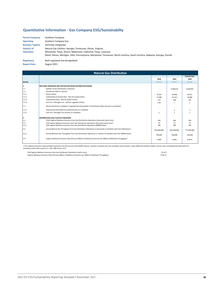#### Quantitative Information - Gas Company ESG/Sustainabilty

| <b>Parent Company:</b>   | Southern Company                                                                                                                |
|--------------------------|---------------------------------------------------------------------------------------------------------------------------------|
| <b>Operating</b>         | Southern Company Gas                                                                                                            |
| <b>Business Type(s):</b> | Vertically Integrated                                                                                                           |
| State(s) of              | Natural Gas Utilities: Georgia, Tennessee, Illinois, Virginia;                                                                  |
| <b>Operation:</b>        | Wholesale: Texas, Illinois; Midstream: California, Texas, Louisana;                                                             |
|                          | Retail: Illinois, Michigan, Ohio, Pennsylvania, Maryloand, Tennessee, North Carolina, South Carolina, Alabama, Georgia, Florida |
| Regulatory               | Both regulated and deregulated                                                                                                  |

Report Date:

| <b>Natural Gas Distribution</b> |                                                                                                                   |             |             |                     |
|---------------------------------|-------------------------------------------------------------------------------------------------------------------|-------------|-------------|---------------------|
|                                 |                                                                                                                   |             |             | <b>Current Year</b> |
|                                 |                                                                                                                   | 2018        | 2019        | 2020                |
| Ref No.                         |                                                                                                                   | Actual      | Actual      | Actual              |
|                                 | METHANE EMISSIONS AND MITIGATION FROM DISTRIBUTION MAINS                                                          |             |             |                     |
| 1.1                             | Number of Gas Distribution Customers                                                                              |             | 4,198,515   | 4,249,692           |
| 1.2                             | Distribution Mains in Service                                                                                     |             |             |                     |
| 1.2.1                           | Plastic (miles)                                                                                                   | 35,361      | 35,958      | 36.471              |
| 1.2.2                           | Cathodically Protected Steel - Bare & Coated (miles)                                                              | 37,389      | 37,143      | 36,986              |
| 1.2.3                           | Unprotected Steel - Bare & Coated (miles)                                                                         | 170         | 198         | 155                 |
| 1.2.4                           | Cast Iron / Wrought Iron - without upgrades (miles)                                                               | 2.00        |             |                     |
| 1.3                             | Plan/Commitment to Replace / Upgrade Remaining Miles of Distribution Mains (# years to complete)                  |             |             |                     |
| 1.3.1                           | Unprotected Steel (Bare & Coated) (# years to complete)                                                           |             |             |                     |
| 1.3.2                           | Cast Iron / Wrought Iron (# years to complete)                                                                    |             |             |                     |
| 12.                             | <b>IDISTRIBUTION CO2e FUGITIVE EMISSIONS</b>                                                                      |             |             |                     |
| 2.1                             | CO2e Fugitive Methane Emissions from Gas Distribution Operations (thousand metric tons)                           | 339         | 340         | 336                 |
| 2.2                             | CH4 Fugitive Methane Emissions from Gas Distribution Operations (thousand metric tons) <sup>1</sup>               | 14          | 14          | 13                  |
| 2.2.1                           | CH4 Fugitive Methane Emissions from Gas Distribution Operations (MMSCF/year)                                      | 706         | 708         | 700                 |
| 2.3                             | Annual Natural Gas Throughput from Gas Distribution Operations in thousands of standard cubic feet (Mscf/year)    | 832,000,000 | 825,000,000 | 777,000,000         |
| 2.3.1                           | Annual Methane Gas Throughput from Gas Distribution Operations in millions of standard cubic feet (MMscf/year)    | 790,000     | 784,000     | 738,000             |
| 2.4                             | Fugitive Methane Emissions Rate (Percent MMscf of Methane Emissions per MMscf of Methane Throughput) <sup>1</sup> | 0.09%       | 0.09%       | 0.09%               |
|                                 |                                                                                                                   |             |             |                     |

1 The methane emissions data provided represents only the sources that GHGRP requires. Southern Company Gas also calculates total emissions using additional methane fugitive sources and is providing that data below for<br>con

2.3.1 Annual Methane Gas Throughput from Gas Distribution Operations in millions of standard cubic feet (MMscf/year) 790,000 784,000 738,000 CH4 Fugitive Methane Emissions from Gas Distribution Operations (metric tons) Fugitive Methane Emissions Rate (Percent MMscf of Methane Emissions per MMscf of Methane Throughput) CH4 Fugitive Methane Emissions from Gas Distribution Operations (metric tons) Fugitive Methane Emissions Rate (Percent MMscf of Methane Emissions per MMscf of Methane Throughput)

 25,537 25,537 0.181 % 0.181 %